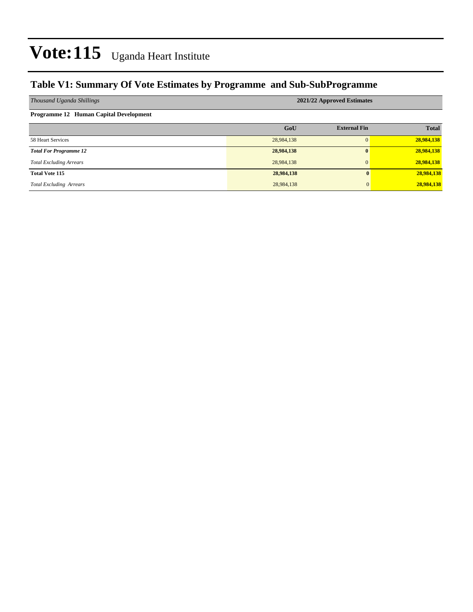### **Table V1: Summary Of Vote Estimates by Programme and Sub-SubProgramme**

| Thousand Uganda Shillings                     | 2021/22 Approved Estimates |                     |              |  |  |  |  |  |
|-----------------------------------------------|----------------------------|---------------------|--------------|--|--|--|--|--|
| <b>Programme 12 Human Capital Development</b> |                            |                     |              |  |  |  |  |  |
|                                               | GoU                        | <b>External Fin</b> | <b>Total</b> |  |  |  |  |  |
| 58 Heart Services                             | 28,984,138                 | $\Omega$            | 28,984,138   |  |  |  |  |  |
| <b>Total For Programme 12</b>                 | 28,984,138                 | $\mathbf{0}$        | 28,984,138   |  |  |  |  |  |
| <b>Total Excluding Arrears</b>                | 28,984,138                 | $\Omega$            | 28,984,138   |  |  |  |  |  |
| <b>Total Vote 115</b>                         | 28,984,138                 | 0                   | 28,984,138   |  |  |  |  |  |
| <b>Total Excluding Arrears</b>                | 28,984,138                 | $\overline{0}$      | 28,984,138   |  |  |  |  |  |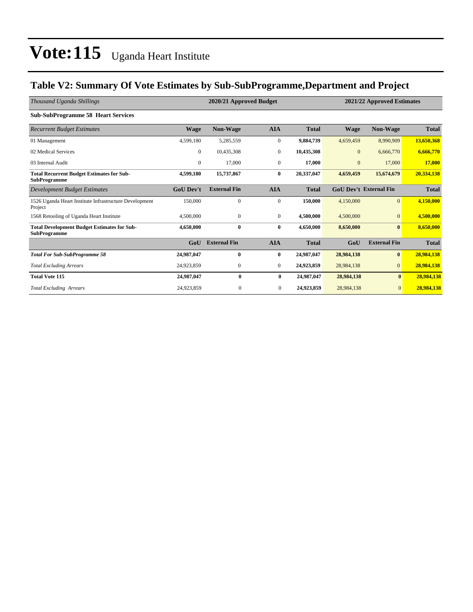### **Table V2: Summary Of Vote Estimates by Sub-SubProgramme,Department and Project**

| Thousand Uganda Shillings                                                 |                  | 2020/21 Approved Budget |                |              |              |                               | 2021/22 Approved Estimates |  |  |
|---------------------------------------------------------------------------|------------------|-------------------------|----------------|--------------|--------------|-------------------------------|----------------------------|--|--|
| <b>Sub-SubProgramme 58 Heart Services</b>                                 |                  |                         |                |              |              |                               |                            |  |  |
| <b>Recurrent Budget Estimates</b>                                         | <b>Wage</b>      | <b>Non-Wage</b>         | <b>AIA</b>     | <b>Total</b> | <b>Wage</b>  | <b>Non-Wage</b>               | <b>Total</b>               |  |  |
| 01 Management                                                             | 4,599,180        | 5,285,559               | $\mathbf{0}$   | 9,884,739    | 4,659,459    | 8,990,909                     | 13,650,368                 |  |  |
| 02 Medical Services                                                       | $\overline{0}$   | 10,435,308              | $\mathbf{0}$   | 10,435,308   | $\mathbf{0}$ | 6,666,770                     | 6,666,770                  |  |  |
| 03 Internal Audit                                                         | $\overline{0}$   | 17,000                  | $\mathbf{0}$   | 17,000       | $\mathbf{0}$ | 17,000                        | 17,000                     |  |  |
| <b>Total Recurrent Budget Estimates for Sub-</b><br><b>SubProgramme</b>   | 4,599,180        | 15,737,867              | $\bf{0}$       | 20,337,047   | 4,659,459    | 15,674,679                    | 20,334,138                 |  |  |
| Development Budget Estimates                                              | <b>GoU Dev't</b> | <b>External Fin</b>     | <b>AIA</b>     | <b>Total</b> |              | <b>GoU Dev't External Fin</b> | <b>Total</b>               |  |  |
| 1526 Uganda Heart Institute Infrastructure Development<br>Project         | 150,000          | $\mathbf{0}$            | $\mathbf{0}$   | 150,000      | 4,150,000    | $\overline{0}$                | 4,150,000                  |  |  |
| 1568 Retooling of Uganda Heart Institute                                  | 4,500,000        | $\mathbf{0}$            | $\mathbf{0}$   | 4,500,000    | 4,500,000    | $\overline{0}$                | 4,500,000                  |  |  |
| <b>Total Development Budget Estimates for Sub-</b><br><b>SubProgramme</b> | 4,650,000        | $\mathbf{0}$            | $\bf{0}$       | 4,650,000    | 8,650,000    | $\bf{0}$                      | 8,650,000                  |  |  |
|                                                                           | GoU              | <b>External Fin</b>     | <b>AIA</b>     | <b>Total</b> | GoU          | <b>External Fin</b>           | <b>Total</b>               |  |  |
| <b>Total For Sub-SubProgramme 58</b>                                      | 24,987,047       | $\bf{0}$                | $\bf{0}$       | 24.987.047   | 28,984,138   | $\bf{0}$                      | 28,984,138                 |  |  |
| <b>Total Excluding Arrears</b>                                            | 24,923,859       | $\mathbf{0}$            | $\mathbf{0}$   | 24,923,859   | 28,984,138   | $\overline{0}$                | 28,984,138                 |  |  |
| <b>Total Vote 115</b>                                                     | 24,987,047       | 0                       | $\bf{0}$       | 24,987,047   | 28,984,138   | $\mathbf{0}$                  | 28,984,138                 |  |  |
| <b>Total Excluding Arrears</b>                                            | 24,923,859       | $\mathbf{0}$            | $\overline{0}$ | 24,923,859   | 28,984,138   | $\overline{0}$                | 28,984,138                 |  |  |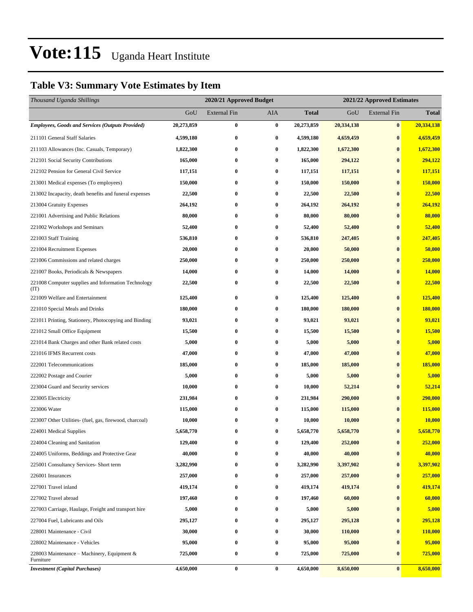### **Table V3: Summary Vote Estimates by Item**

| Thousand Uganda Shillings                                   |            | 2020/21 Approved Budget<br>2021/22 Approved Estimates |                  |              |            |                     |              |
|-------------------------------------------------------------|------------|-------------------------------------------------------|------------------|--------------|------------|---------------------|--------------|
|                                                             | GoU        | <b>External Fin</b>                                   | AIA              | <b>Total</b> | GoU        | <b>External Fin</b> | <b>Total</b> |
| <b>Employees, Goods and Services (Outputs Provided)</b>     | 20,273,859 | $\bf{0}$                                              | $\bf{0}$         | 20,273,859   | 20,334,138 | $\boldsymbol{0}$    | 20,334,138   |
| 211101 General Staff Salaries                               | 4,599,180  | $\bf{0}$                                              | $\bf{0}$         | 4,599,180    | 4,659,459  | $\bf{0}$            | 4,659,459    |
| 211103 Allowances (Inc. Casuals, Temporary)                 | 1,822,300  | $\bf{0}$                                              | $\bf{0}$         | 1,822,300    | 1,672,300  | $\bf{0}$            | 1,672,300    |
| 212101 Social Security Contributions                        | 165,000    | $\bf{0}$                                              | $\bf{0}$         | 165,000      | 294,122    | $\bf{0}$            | 294,122      |
| 212102 Pension for General Civil Service                    | 117,151    | $\bf{0}$                                              | $\bf{0}$         | 117,151      | 117,151    | $\bf{0}$            | 117,151      |
| 213001 Medical expenses (To employees)                      | 150,000    | $\bf{0}$                                              | $\bf{0}$         | 150,000      | 150,000    | $\bf{0}$            | 150,000      |
| 213002 Incapacity, death benefits and funeral expenses      | 22,500     | $\bf{0}$                                              | $\bf{0}$         | 22,500       | 22,500     | $\bf{0}$            | 22,500       |
| 213004 Gratuity Expenses                                    | 264,192    | 0                                                     | $\bf{0}$         | 264,192      | 264,192    | $\bf{0}$            | 264,192      |
| 221001 Advertising and Public Relations                     | 80,000     | $\bf{0}$                                              | $\bf{0}$         | 80,000       | 80,000     | $\bf{0}$            | 80,000       |
| 221002 Workshops and Seminars                               | 52,400     | $\bf{0}$                                              | $\bf{0}$         | 52,400       | 52,400     | $\bf{0}$            | 52,400       |
| 221003 Staff Training                                       | 536,810    | $\bf{0}$                                              | $\bf{0}$         | 536,810      | 247,405    | $\bf{0}$            | 247,405      |
| 221004 Recruitment Expenses                                 | 20,000     | $\bf{0}$                                              | $\bf{0}$         | 20,000       | 50,000     | $\bf{0}$            | 50,000       |
| 221006 Commissions and related charges                      | 250,000    | 0                                                     | $\bf{0}$         | 250,000      | 250,000    | $\bf{0}$            | 250,000      |
| 221007 Books, Periodicals & Newspapers                      | 14,000     | $\bf{0}$                                              | $\bf{0}$         | 14,000       | 14,000     | $\bf{0}$            | 14,000       |
| 221008 Computer supplies and Information Technology<br>(TT) | 22,500     | $\bf{0}$                                              | $\bf{0}$         | 22,500       | 22,500     | $\bf{0}$            | 22,500       |
| 221009 Welfare and Entertainment                            | 125,400    | $\bf{0}$                                              | $\bf{0}$         | 125,400      | 125,400    | $\bf{0}$            | 125,400      |
| 221010 Special Meals and Drinks                             | 180,000    | 0                                                     | $\bf{0}$         | 180,000      | 180,000    | $\bf{0}$            | 180,000      |
| 221011 Printing, Stationery, Photocopying and Binding       | 93,021     | $\bf{0}$                                              | $\bf{0}$         | 93,021       | 93,021     | $\bf{0}$            | 93,021       |
| 221012 Small Office Equipment                               | 15,500     | $\bf{0}$                                              | $\bf{0}$         | 15,500       | 15,500     | $\bf{0}$            | 15,500       |
| 221014 Bank Charges and other Bank related costs            | 5,000      | $\bf{0}$                                              | $\bf{0}$         | 5,000        | 5,000      | $\bf{0}$            | 5,000        |
| 221016 IFMS Recurrent costs                                 | 47,000     | 0                                                     | $\bf{0}$         | 47,000       | 47,000     | $\bf{0}$            | 47,000       |
| 222001 Telecommunications                                   | 185,000    | 0                                                     | $\bf{0}$         | 185,000      | 185,000    | $\bf{0}$            | 185,000      |
| 222002 Postage and Courier                                  | 5,000      | $\bf{0}$                                              | $\bf{0}$         | 5,000        | 5,000      | $\bf{0}$            | 5,000        |
| 223004 Guard and Security services                          | 10,000     | $\bf{0}$                                              | 0                | 10,000       | 52,214     | $\bf{0}$            | 52,214       |
| 223005 Electricity                                          | 231,984    | $\bf{0}$                                              | $\bf{0}$         | 231,984      | 290,000    | $\bf{0}$            | 290,000      |
| 223006 Water                                                | 115,000    | 0                                                     | $\bf{0}$         | 115,000      | 115,000    | $\bf{0}$            | 115,000      |
| 223007 Other Utilities- (fuel, gas, firewood, charcoal)     | 10,000     | 0                                                     | $\bf{0}$         | 10,000       | 10,000     | $\bf{0}$            | 10,000       |
| 224001 Medical Supplies                                     | 5,658,770  | $\bf{0}$                                              | $\bf{0}$         | 5,658,770    | 5,658,770  | $\bf{0}$            | 5,658,770    |
| 224004 Cleaning and Sanitation                              | 129,400    | $\bf{0}$                                              | $\bf{0}$         | 129,400      | 252,000    | $\bf{0}$            | 252,000      |
| 224005 Uniforms, Beddings and Protective Gear               | 40,000     | $\bf{0}$                                              | $\bf{0}$         | 40,000       | 40,000     | $\bf{0}$            | 40,000       |
| 225001 Consultancy Services- Short term                     | 3,282,990  | $\bf{0}$                                              | $\bf{0}$         | 3,282,990    | 3,397,902  | $\bf{0}$            | 3,397,902    |
| 226001 Insurances                                           | 257,000    | $\bf{0}$                                              | $\bf{0}$         | 257,000      | 257,000    | $\bf{0}$            | 257,000      |
| 227001 Travel inland                                        | 419,174    | $\bf{0}$                                              | $\boldsymbol{0}$ | 419,174      | 419,174    | $\bf{0}$            | 419,174      |
| 227002 Travel abroad                                        | 197,460    | 0                                                     | $\bf{0}$         | 197,460      | 60,000     | $\bf{0}$            | 60,000       |
| 227003 Carriage, Haulage, Freight and transport hire        | 5,000      | $\bf{0}$                                              | $\bf{0}$         | 5,000        | 5,000      | $\bf{0}$            | 5,000        |
| 227004 Fuel, Lubricants and Oils                            | 295,127    | 0                                                     | $\bf{0}$         | 295,127      | 295,128    | $\bf{0}$            | 295,128      |
| 228001 Maintenance - Civil                                  | 30,000     | 0                                                     | $\bf{0}$         | 30,000       | 110,000    | $\bf{0}$            | 110,000      |
| 228002 Maintenance - Vehicles                               | 95,000     | $\bf{0}$                                              | $\bf{0}$         | 95,000       | 95,000     | $\bf{0}$            | 95,000       |
| 228003 Maintenance – Machinery, Equipment $\&$<br>Furniture | 725,000    | $\bf{0}$                                              | $\bf{0}$         | 725,000      | 725,000    | $\bf{0}$            | 725,000      |
| <b>Investment</b> (Capital Purchases)                       | 4,650,000  | $\pmb{0}$                                             | $\bf{0}$         | 4,650,000    | 8,650,000  | $\vert 0 \vert$     | 8,650,000    |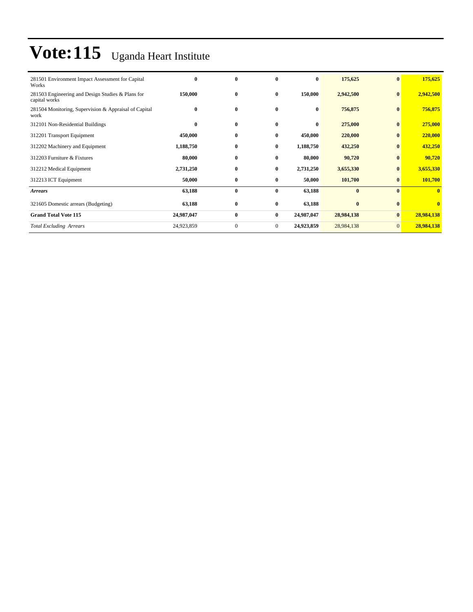| 281501 Environment Impact Assessment for Capital<br>Works          | $\bf{0}$   | $\bf{0}$         | $\mathbf{0}$ | $\bf{0}$   | 175,625    | $\bf{0}$        | 175,625      |
|--------------------------------------------------------------------|------------|------------------|--------------|------------|------------|-----------------|--------------|
| 281503 Engineering and Design Studies & Plans for<br>capital works | 150,000    | $\bf{0}$         | $\bf{0}$     | 150,000    | 2,942,500  | $\bf{0}$        | 2,942,500    |
| 281504 Monitoring, Supervision & Appraisal of Capital<br>work      | $\bf{0}$   | $\bf{0}$         | $\bf{0}$     | $\bf{0}$   | 756,875    | $\bf{0}$        | 756,875      |
| 312101 Non-Residential Buildings                                   | $\bf{0}$   | $\bf{0}$         | $\bf{0}$     | $\bf{0}$   | 275,000    | $\bf{0}$        | 275,000      |
| 312201 Transport Equipment                                         | 450,000    | $\bf{0}$         | $\bf{0}$     | 450,000    | 220,000    | $\bf{0}$        | 220,000      |
| 312202 Machinery and Equipment                                     | 1,188,750  | $\bf{0}$         | $\bf{0}$     | 1,188,750  | 432,250    | $\bf{0}$        | 432,250      |
| 312203 Furniture & Fixtures                                        | 80,000     | $\bf{0}$         | $\bf{0}$     | 80,000     | 90,720     | $\bf{0}$        | 90,720       |
| 312212 Medical Equipment                                           | 2,731,250  | $\bf{0}$         | $\bf{0}$     | 2,731,250  | 3,655,330  | $\bf{0}$        | 3,655,330    |
| 312213 ICT Equipment                                               | 50,000     | $\bf{0}$         | $\bf{0}$     | 50,000     | 101,700    | $\bf{0}$        | 101,700      |
| <b>Arrears</b>                                                     | 63,188     | $\bf{0}$         | $\bf{0}$     | 63,188     | $\bf{0}$   | $\bf{0}$        | $\mathbf{0}$ |
| 321605 Domestic arrears (Budgeting)                                | 63,188     | $\bf{0}$         | $\bf{0}$     | 63,188     | $\bf{0}$   | $\bf{0}$        | $\bf{0}$     |
| <b>Grand Total Vote 115</b>                                        | 24,987,047 | $\bf{0}$         | $\bf{0}$     | 24,987,047 | 28,984,138 | $\bf{0}$        | 28,984,138   |
| <b>Total Excluding Arrears</b>                                     | 24,923,859 | $\boldsymbol{0}$ | $\mathbf{0}$ | 24,923,859 | 28,984,138 | $\vert 0 \vert$ | 28,984,138   |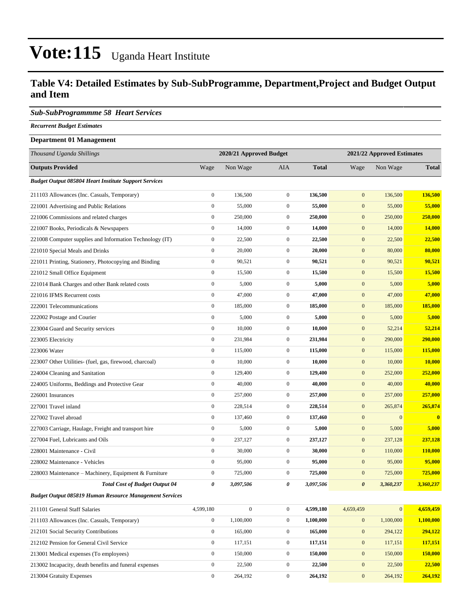### **Table V4: Detailed Estimates by Sub-SubProgramme, Department,Project and Budget Output and Item**

#### *Sub-SubProgrammme 58 Heart Services*

*Recurrent Budget Estimates*

#### **Department 01 Management**

| Thousand Uganda Shillings                                      |                  | 2020/21 Approved Budget |                  |              | 2021/22 Approved Estimates |                 |                         |  |
|----------------------------------------------------------------|------------------|-------------------------|------------------|--------------|----------------------------|-----------------|-------------------------|--|
| <b>Outputs Provided</b>                                        | Wage             | Non Wage                | AIA              | <b>Total</b> | Wage                       | Non Wage        | <b>Total</b>            |  |
| <b>Budget Output 085804 Heart Institute Support Services</b>   |                  |                         |                  |              |                            |                 |                         |  |
| 211103 Allowances (Inc. Casuals, Temporary)                    | $\boldsymbol{0}$ | 136,500                 | $\overline{0}$   | 136,500      | $\boldsymbol{0}$           | 136,500         | 136,500                 |  |
| 221001 Advertising and Public Relations                        | $\boldsymbol{0}$ | 55,000                  | $\boldsymbol{0}$ | 55,000       | $\mathbf{0}$               | 55,000          | 55,000                  |  |
| 221006 Commissions and related charges                         | $\boldsymbol{0}$ | 250,000                 | $\mathbf{0}$     | 250,000      | $\mathbf{0}$               | 250,000         | 250,000                 |  |
| 221007 Books, Periodicals & Newspapers                         | $\boldsymbol{0}$ | 14,000                  | $\mathbf{0}$     | 14,000       | $\mathbf{0}$               | 14,000          | 14,000                  |  |
| 221008 Computer supplies and Information Technology (IT)       | $\boldsymbol{0}$ | 22,500                  | $\mathbf{0}$     | 22,500       | $\mathbf{0}$               | 22,500          | 22,500                  |  |
| 221010 Special Meals and Drinks                                | $\boldsymbol{0}$ | 20,000                  | $\overline{0}$   | 20,000       | $\mathbf{0}$               | 80,000          | 80,000                  |  |
| 221011 Printing, Stationery, Photocopying and Binding          | $\boldsymbol{0}$ | 90,521                  | $\mathbf{0}$     | 90,521       | $\mathbf{0}$               | 90,521          | 90,521                  |  |
| 221012 Small Office Equipment                                  | $\boldsymbol{0}$ | 15,500                  | $\mathbf{0}$     | 15,500       | $\mathbf{0}$               | 15,500          | 15,500                  |  |
| 221014 Bank Charges and other Bank related costs               | $\boldsymbol{0}$ | 5,000                   | $\boldsymbol{0}$ | 5,000        | $\mathbf{0}$               | 5,000           | 5,000                   |  |
| 221016 IFMS Recurrent costs                                    | $\boldsymbol{0}$ | 47,000                  | $\mathbf{0}$     | 47,000       | $\mathbf{0}$               | 47,000          | 47,000                  |  |
| 222001 Telecommunications                                      | $\boldsymbol{0}$ | 185,000                 | $\overline{0}$   | 185,000      | $\mathbf{0}$               | 185,000         | 185,000                 |  |
| 222002 Postage and Courier                                     | $\boldsymbol{0}$ | 5,000                   | $\mathbf{0}$     | 5,000        | $\mathbf{0}$               | 5,000           | 5,000                   |  |
| 223004 Guard and Security services                             | $\boldsymbol{0}$ | 10,000                  | $\mathbf{0}$     | 10,000       | $\mathbf{0}$               | 52,214          | 52,214                  |  |
| 223005 Electricity                                             | $\boldsymbol{0}$ | 231,984                 | $\mathbf{0}$     | 231,984      | $\mathbf{0}$               | 290,000         | 290,000                 |  |
| 223006 Water                                                   | $\boldsymbol{0}$ | 115,000                 | $\mathbf{0}$     | 115,000      | $\mathbf{0}$               | 115,000         | 115,000                 |  |
| 223007 Other Utilities- (fuel, gas, firewood, charcoal)        | $\boldsymbol{0}$ | 10,000                  | $\overline{0}$   | 10,000       | $\mathbf{0}$               | 10,000          | 10,000                  |  |
| 224004 Cleaning and Sanitation                                 | $\boldsymbol{0}$ | 129,400                 | $\mathbf{0}$     | 129,400      | $\mathbf{0}$               | 252,000         | 252,000                 |  |
| 224005 Uniforms, Beddings and Protective Gear                  | $\boldsymbol{0}$ | 40,000                  | $\mathbf{0}$     | 40,000       | $\mathbf{0}$               | 40,000          | 40,000                  |  |
| 226001 Insurances                                              | $\boldsymbol{0}$ | 257,000                 | $\mathbf{0}$     | 257,000      | $\mathbf{0}$               | 257,000         | 257,000                 |  |
| 227001 Travel inland                                           | $\boldsymbol{0}$ | 228,514                 | $\mathbf{0}$     | 228,514      | $\mathbf{0}$               | 265,874         | 265,874                 |  |
| 227002 Travel abroad                                           | $\boldsymbol{0}$ | 137,460                 | $\overline{0}$   | 137,460      | $\mathbf{0}$               | $\mathbf{0}$    | $\overline{\mathbf{0}}$ |  |
| 227003 Carriage, Haulage, Freight and transport hire           | $\boldsymbol{0}$ | 5,000                   | $\mathbf{0}$     | 5,000        | $\mathbf{0}$               | 5,000           | 5,000                   |  |
| 227004 Fuel, Lubricants and Oils                               | $\boldsymbol{0}$ | 237,127                 | $\mathbf{0}$     | 237,127      | $\mathbf{0}$               | 237,128         | 237,128                 |  |
| 228001 Maintenance - Civil                                     | $\boldsymbol{0}$ | 30,000                  | $\mathbf{0}$     | 30,000       | $\mathbf{0}$               | 110,000         | 110,000                 |  |
| 228002 Maintenance - Vehicles                                  | $\boldsymbol{0}$ | 95,000                  | $\mathbf{0}$     | 95,000       | $\mathbf{0}$               | 95,000          | 95,000                  |  |
| 228003 Maintenance – Machinery, Equipment & Furniture          | $\boldsymbol{0}$ | 725,000                 | $\overline{0}$   | 725,000      | $\mathbf{0}$               | 725,000         | 725,000                 |  |
| <b>Total Cost of Budget Output 04</b>                          | 0                | 3,097,506               | 0                | 3,097,506    | $\boldsymbol{\theta}$      | 3,360,237       | 3,360,237               |  |
| <b>Budget Output 085819 Human Resource Management Services</b> |                  |                         |                  |              |                            |                 |                         |  |
| 211101 General Staff Salaries                                  | 4,599,180        | $\boldsymbol{0}$        | $\overline{0}$   | 4,599,180    | 4,659,459                  | $\vert 0 \vert$ | 4,659,459               |  |
| 211103 Allowances (Inc. Casuals, Temporary)                    | $\mathbf{0}$     | 1,100,000               | $\boldsymbol{0}$ | 1,100,000    | $\boldsymbol{0}$           | 1,100,000       | 1,100,000               |  |
| 212101 Social Security Contributions                           | $\boldsymbol{0}$ | 165,000                 | $\mathbf{0}$     | 165,000      | $\mathbf{0}$               | 294,122         | 294,122                 |  |
| 212102 Pension for General Civil Service                       | $\boldsymbol{0}$ | 117,151                 | $\boldsymbol{0}$ | 117,151      | $\boldsymbol{0}$           | 117,151         | 117,151                 |  |
| 213001 Medical expenses (To employees)                         | $\mathbf{0}$     | 150,000                 | $\boldsymbol{0}$ | 150,000      | $\mathbf{0}$               | 150,000         | 150,000                 |  |
| 213002 Incapacity, death benefits and funeral expenses         | $\mathbf{0}$     | 22,500                  | $\overline{0}$   | 22,500       | $\boldsymbol{0}$           | 22,500          | 22,500                  |  |

213004 Gratuity Expenses 0 264,192 0 **264,192** 0 264,192 **264,192**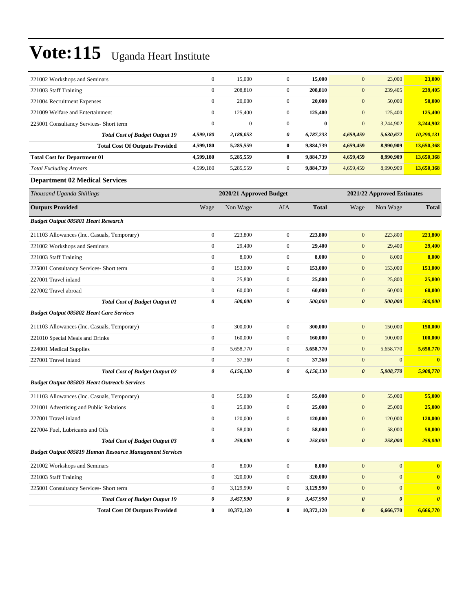| 221002 Workshops and Seminars                                  | $\boldsymbol{0}$ | 15,000                  | $\boldsymbol{0}$ | 15,000       | $\mathbf{0}$          | 23,000                     | 23,000                |
|----------------------------------------------------------------|------------------|-------------------------|------------------|--------------|-----------------------|----------------------------|-----------------------|
| 221003 Staff Training                                          | $\boldsymbol{0}$ | 208,810                 | $\boldsymbol{0}$ | 208,810      | $\mathbf{0}$          | 239,405                    | 239,405               |
| 221004 Recruitment Expenses                                    | $\boldsymbol{0}$ | 20,000                  | $\boldsymbol{0}$ | 20,000       | $\mathbf{0}$          | 50,000                     | 50,000                |
| 221009 Welfare and Entertainment                               | $\boldsymbol{0}$ | 125,400                 | $\overline{0}$   | 125,400      | $\mathbf{0}$          | 125,400                    | 125,400               |
| 225001 Consultancy Services- Short term                        | $\boldsymbol{0}$ | $\mathbf{0}$            | $\overline{0}$   | $\bf{0}$     | $\mathbf{0}$          | 3,244,902                  | 3,244,902             |
| <b>Total Cost of Budget Output 19</b>                          | 4,599,180        | 2,188,053               | 0                | 6,787,233    | 4,659,459             | 5,630,672                  | 10,290,131            |
| <b>Total Cost Of Outputs Provided</b>                          | 4,599,180        | 5,285,559               | 0                | 9,884,739    | 4,659,459             | 8,990,909                  | 13,650,368            |
| <b>Total Cost for Department 01</b>                            | 4,599,180        | 5,285,559               | $\bf{0}$         | 9,884,739    | 4,659,459             | 8,990,909                  | 13,650,368            |
| <b>Total Excluding Arrears</b>                                 | 4,599,180        | 5,285,559               | $\boldsymbol{0}$ | 9,884,739    | 4,659,459             | 8,990,909                  | 13,650,368            |
| <b>Department 02 Medical Services</b>                          |                  |                         |                  |              |                       |                            |                       |
| Thousand Uganda Shillings                                      |                  | 2020/21 Approved Budget |                  |              |                       | 2021/22 Approved Estimates |                       |
| <b>Outputs Provided</b>                                        | Wage             | Non Wage                | AIA              | <b>Total</b> | Wage                  | Non Wage                   | <b>Total</b>          |
| <b>Budget Output 085801 Heart Research</b>                     |                  |                         |                  |              |                       |                            |                       |
| 211103 Allowances (Inc. Casuals, Temporary)                    | $\boldsymbol{0}$ | 223,800                 | $\overline{0}$   | 223,800      | $\mathbf{0}$          | 223,800                    | 223,800               |
| 221002 Workshops and Seminars                                  | $\boldsymbol{0}$ | 29,400                  | $\mathbf{0}$     | 29,400       | $\mathbf{0}$          | 29,400                     | 29,400                |
| 221003 Staff Training                                          | $\boldsymbol{0}$ | 8,000                   | $\boldsymbol{0}$ | 8,000        | $\mathbf{0}$          | 8,000                      | 8,000                 |
| 225001 Consultancy Services- Short term                        | $\boldsymbol{0}$ | 153,000                 | $\boldsymbol{0}$ | 153,000      | $\mathbf{0}$          | 153,000                    | 153,000               |
| 227001 Travel inland                                           | $\boldsymbol{0}$ | 25,800                  | $\boldsymbol{0}$ | 25,800       | $\boldsymbol{0}$      | 25,800                     | 25,800                |
| 227002 Travel abroad                                           | $\mathbf{0}$     | 60,000                  | $\mathbf{0}$     | 60,000       | $\mathbf{0}$          | 60,000                     | 60,000                |
| <b>Total Cost of Budget Output 01</b>                          | 0                | 500,000                 | 0                | 500,000      | $\boldsymbol{\theta}$ | 500,000                    | 500,000               |
| <b>Budget Output 085802 Heart Care Services</b>                |                  |                         |                  |              |                       |                            |                       |
| 211103 Allowances (Inc. Casuals, Temporary)                    | $\boldsymbol{0}$ | 300,000                 | $\overline{0}$   | 300,000      | $\boldsymbol{0}$      | 150,000                    | 150,000               |
| 221010 Special Meals and Drinks                                | $\boldsymbol{0}$ | 160,000                 | $\mathbf{0}$     | 160,000      | $\mathbf{0}$          | 100,000                    | 100,000               |
| 224001 Medical Supplies                                        | $\boldsymbol{0}$ | 5,658,770               | $\mathbf{0}$     | 5,658,770    | $\mathbf{0}$          | 5,658,770                  | 5,658,770             |
| 227001 Travel inland                                           | $\mathbf{0}$     | 37,360                  | $\mathbf{0}$     | 37,360       | $\mathbf{0}$          | $\mathbf{0}$               | $\bf{0}$              |
| <b>Total Cost of Budget Output 02</b>                          | 0                | 6,156,130               | 0                | 6,156,130    | $\boldsymbol{\theta}$ | 5,908,770                  | 5,908,770             |
| <b>Budget Output 085803 Heart Outreach Services</b>            |                  |                         |                  |              |                       |                            |                       |
| 211103 Allowances (Inc. Casuals, Temporary)                    | $\boldsymbol{0}$ | 55,000                  | $\overline{0}$   | 55,000       | $\mathbf{0}$          | 55,000                     | 55,000                |
| 221001 Advertising and Public Relations                        | $\boldsymbol{0}$ | 25,000                  | $\boldsymbol{0}$ | 25,000       | $\mathbf{0}$          | 25,000                     | 25,000                |
| 227001 Travel inland                                           | $\boldsymbol{0}$ | 120,000                 | 0                | 120,000      | $\bf{0}$              | 120,000                    | 120,000               |
| 227004 Fuel, Lubricants and Oils                               | $\boldsymbol{0}$ | 58,000                  | $\boldsymbol{0}$ | 58,000       | $\boldsymbol{0}$      | 58,000                     | 58,000                |
| <b>Total Cost of Budget Output 03</b>                          | 0                | 258,000                 | 0                | 258,000      | $\boldsymbol{\theta}$ | 258,000                    | 258,000               |
| <b>Budget Output 085819 Human Resource Management Services</b> |                  |                         |                  |              |                       |                            |                       |
| 221002 Workshops and Seminars                                  | $\boldsymbol{0}$ | 8,000                   | $\boldsymbol{0}$ | 8,000        | $\boldsymbol{0}$      | $\mathbf{0}$               | $\bf{0}$              |
| 221003 Staff Training                                          | $\boldsymbol{0}$ | 320,000                 | $\boldsymbol{0}$ | 320,000      | $\boldsymbol{0}$      | $\mathbf{0}$               | $\mathbf{0}$          |
| 225001 Consultancy Services- Short term                        | $\boldsymbol{0}$ | 3,129,990               | $\boldsymbol{0}$ | 3,129,990    | $\boldsymbol{0}$      | $\mathbf{0}$               | $\bf{0}$              |
| <b>Total Cost of Budget Output 19</b>                          | 0                | 3,457,990               | 0                | 3,457,990    | $\boldsymbol{\theta}$ | $\pmb{\theta}$             | $\boldsymbol{\theta}$ |
| <b>Total Cost Of Outputs Provided</b>                          | $\bf{0}$         | 10,372,120              | $\bf{0}$         | 10,372,120   | $\bf{0}$              | 6,666,770                  | 6,666,770             |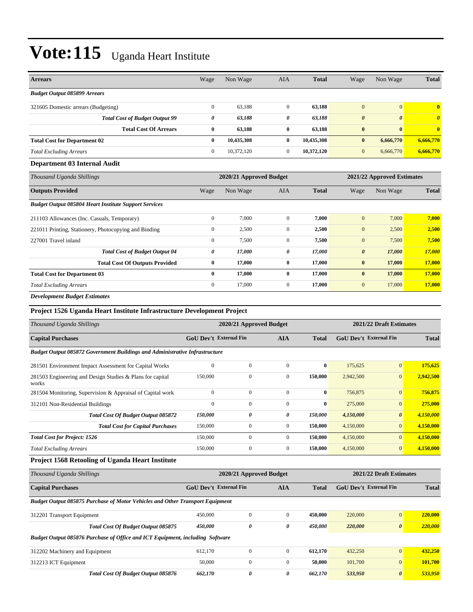| <b>Arrears</b>                                               | Wage             | Non Wage                | <b>AIA</b>     | <b>Total</b> | Wage                       | Non Wage              | <b>Total</b>            |
|--------------------------------------------------------------|------------------|-------------------------|----------------|--------------|----------------------------|-----------------------|-------------------------|
| <b>Budget Output 085899 Arrears</b>                          |                  |                         |                |              |                            |                       |                         |
| 321605 Domestic arrears (Budgeting)                          | $\mathbf{0}$     | 63,188                  | $\overline{0}$ | 63,188       | $\mathbf{0}$               | $\vert 0 \vert$       | $\overline{\mathbf{0}}$ |
| <b>Total Cost of Budget Output 99</b>                        | 0                | 63,188                  | 0              | 63,188       | $\boldsymbol{\theta}$      | $\boldsymbol{\theta}$ | $\boldsymbol{\theta}$   |
| <b>Total Cost Of Arrears</b>                                 | $\bf{0}$         | 63,188                  | $\bf{0}$       | 63,188       | $\bf{0}$                   | $\bf{0}$              | $\overline{\mathbf{0}}$ |
| <b>Total Cost for Department 02</b>                          | $\bf{0}$         | 10,435,308              | 0              | 10,435,308   | $\bf{0}$                   | 6,666,770             | 6,666,770               |
| <b>Total Excluding Arrears</b>                               | $\mathbf{0}$     | 10,372,120              | $\overline{0}$ | 10,372,120   | $\mathbf{0}$               | 6,666,770             | 6,666,770               |
| Department 03 Internal Audit                                 |                  |                         |                |              |                            |                       |                         |
| Thousand Uganda Shillings                                    |                  | 2020/21 Approved Budget |                |              | 2021/22 Approved Estimates |                       |                         |
| <b>Outputs Provided</b>                                      | Wage             | Non Wage                | <b>AIA</b>     | <b>Total</b> | Wage                       | Non Wage              | <b>Total</b>            |
| <b>Budget Output 085804 Heart Institute Support Services</b> |                  |                         |                |              |                            |                       |                         |
| 211103 Allowances (Inc. Casuals, Temporary)                  | $\boldsymbol{0}$ | 7,000                   | $\mathbf{0}$   | 7,000        | $\mathbf{0}$               | 7,000                 | 7,000                   |
| 221011 Printing, Stationery, Photocopying and Binding        | $\mathbf{0}$     | 2,500                   | $\overline{0}$ | 2,500        | $\mathbf{0}$               | 2,500                 | 2,500                   |
| 227001 Travel inland                                         | $\mathbf{0}$     | 7,500                   | $\Omega$       | 7,500        | $\mathbf{0}$               | 7,500                 | 7,500                   |
| <b>Total Cost of Budget Output 04</b>                        | 0                | 17,000                  | 0              | 17,000       | $\boldsymbol{\theta}$      | 17,000                | 17,000                  |
| <b>Total Cost Of Outputs Provided</b>                        | $\bf{0}$         | 17,000                  | $\bf{0}$       | 17,000       | $\bf{0}$                   | 17,000                | 17,000                  |
| <b>Total Cost for Department 03</b>                          | $\mathbf{0}$     | 17,000                  | $\bf{0}$       | 17,000       | $\bf{0}$                   | 17,000                | 17,000                  |
| <b>Total Excluding Arrears</b>                               | $\mathbf{0}$     | 17,000                  | $\mathbf{0}$   | 17.000       | $\mathbf{0}$               | 17,000                | 17,000                  |

*Development Budget Estimates*

#### **Project 1526 Uganda Heart Institute Infrastructure Development Project**

| Thousand Uganda Shillings                                                          |                               | 2020/21 Approved Budget | 2021/22 Draft Estimates |              |                               |                       |              |  |  |  |
|------------------------------------------------------------------------------------|-------------------------------|-------------------------|-------------------------|--------------|-------------------------------|-----------------------|--------------|--|--|--|
| <b>Capital Purchases</b>                                                           | <b>GoU Dev't External Fin</b> |                         | <b>AIA</b>              | <b>Total</b> | <b>GoU</b> Dev't External Fin |                       | <b>Total</b> |  |  |  |
| <b>Budget Output 085872 Government Buildings and Administrative Infrastructure</b> |                               |                         |                         |              |                               |                       |              |  |  |  |
| 281501 Environment Impact Assessment for Capital Works                             | $\mathbf{0}$                  | $\mathbf{0}$            | $\mathbf{0}$            | $\bf{0}$     | 175,625                       | $\mathbf{0}$          | 175,625      |  |  |  |
| 281503 Engineering and Design Studies & Plans for capital<br>works                 | 150,000                       | $\mathbf{0}$            | $\mathbf{0}$            | 150,000      | 2,942,500                     | $\mathbf{0}$          | 2,942,500    |  |  |  |
| 281504 Monitoring, Supervision & Appraisal of Capital work                         | $\mathbf{0}$                  | $\mathbf{0}$            | $\overline{0}$          | $\bf{0}$     | 756,875                       | $\mathbf{0}$          | 756,875      |  |  |  |
| 312101 Non-Residential Buildings                                                   | $\mathbf{0}$                  | $\mathbf{0}$            | $\overline{0}$          | $\bf{0}$     | 275,000                       | $\mathbf{0}$          | 275,000      |  |  |  |
| <b>Total Cost Of Budget Output 085872</b>                                          | 150,000                       | 0                       | 0                       | 150,000      | 4,150,000                     | $\boldsymbol{\theta}$ | 4,150,000    |  |  |  |
| <b>Total Cost for Capital Purchases</b>                                            | 150,000                       | $\mathbf{0}$            | $\overline{0}$          | 150,000      | 4,150,000                     | $\mathbf{0}$          | 4,150,000    |  |  |  |
| <b>Total Cost for Project: 1526</b>                                                | 150,000                       | $\Omega$                | $\overline{0}$          | 150,000      | 4,150,000                     | $\mathbf{0}$          | 4,150,000    |  |  |  |
| <b>Total Excluding Arrears</b>                                                     | 150,000                       | $\mathbf{0}$            | $\overline{0}$          | 150,000      | 4,150,000                     | $\overline{0}$        | 4,150,000    |  |  |  |

#### **Project 1568 Retooling of Uganda Heart Institute**

| Thousand Uganda Shillings                                                            |                        | 2020/21 Approved Budget | 2021/22 Draft Estimates |              |                               |                       |              |  |  |  |
|--------------------------------------------------------------------------------------|------------------------|-------------------------|-------------------------|--------------|-------------------------------|-----------------------|--------------|--|--|--|
| <b>Capital Purchases</b>                                                             | GoU Dev't External Fin |                         | <b>AIA</b>              | <b>Total</b> | <b>GoU</b> Dev't External Fin |                       | <b>Total</b> |  |  |  |
| <b>Budget Output 085875 Purchase of Motor Vehicles and Other Transport Equipment</b> |                        |                         |                         |              |                               |                       |              |  |  |  |
| 312201 Transport Equipment                                                           | 450,000                | $\Omega$                | $\Omega$                | 450,000      | 220,000                       | $\overline{0}$        | 220,000      |  |  |  |
| <b>Total Cost Of Budget Output 085875</b>                                            | 450,000                | $\theta$                | 0                       | 450.000      | 220,000                       | $\boldsymbol{\theta}$ | 220,000      |  |  |  |
| <b>Budget Output 085876 Purchase of Office and ICT Equipment, including Software</b> |                        |                         |                         |              |                               |                       |              |  |  |  |
| 312202 Machinery and Equipment                                                       | 612,170                | $\mathbf{0}$            | $\overline{0}$          | 612.170      | 432,250                       | $\mathbf{0}$          | 432,250      |  |  |  |
| 312213 ICT Equipment                                                                 | 50,000                 | $\mathbf{0}$            | $\mathbf{0}$            | 50,000       | 101,700                       | $\overline{0}$        | 101.700      |  |  |  |
| <b>Total Cost Of Budget Output 085876</b>                                            | 662,170                | 0                       | 0                       | 662,170      | 533,950                       | $\boldsymbol{\theta}$ | 533,950      |  |  |  |